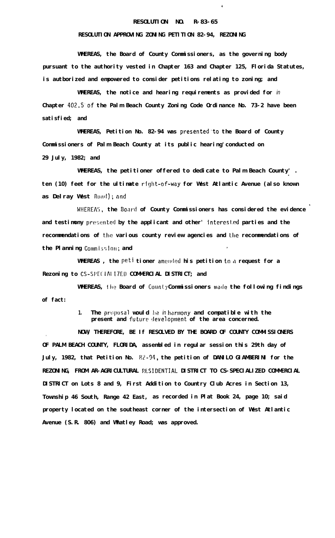## **RESOLUTION NO. R-83-65**

 $\mathbf{t}$ 

## **RESOLUTION APPROVING ZONING PETITION 82-94, REZONING**

**WHEREAS, the Board of County Commissioners, as the governing body pursuant to the authority vested in Chapter 163 and Chapter 125, Florida Statutes, is autborized and empowered to consider petitions relating to zoning; and**

**WHEREAS, the notice and hearing requirements as provided for** *in* **Chapter 402:5'of the Palm Beach County Zoning Code Ordinance No. 73-2 have been satisfied; and**

**WHEREAS, Petition No. 82-94 was presented to the Board of County Commissioners of Palm Beach County at its public hearing'conducted on 29 July, 1982; and**

**WHEREAS, the petitioner offered to dedicate to Palm Beach County' . '**ten (10) feet for the ultimate right-of-way for West Atlantic Avenue (also known as Delray West Road); and

WHEREAS, the Board of County Commissioners has considered the evidence and testimony presented by the applicant and other' interested parties and the **recommendations of the various county review agencies and 111~ recommendations of the Planning Commission; and** 

WHEREAS, the peti tioner amended his petition to a request for a **Rezoning to CS-SPE(.IAl I7CD COMMERCIAL DISTRICT; and**

**WHEREAS, the Board of County Commissioners made the following findings of fact:**

> **1. The proposal would be inharmony and compatible with the present and future !Ievelopment of the area concerned.**

**NOW, THEREFORE, BE If RESOLVED BY THE BOARD OF COUNTY COMMISSIONERS . OF PALM BEACH COUNTY, FLORIDA, assembled in regular session this 29th day of** July, 1982, that Petition No. 82-94, the petition of DANILO GIAMBERINI for the **REZONING, FROM AR-AGRICULTURAL RESIDENTIAL DISTRICT TO CS-SPECIALIZED COMMERCIAL DISTRICT on Lots 8 and 9, First Addition to Country Club Acres in Section 13, Township 46 South, Range 42 East, as recorded in Plat Book 24, page 10; said property located on the southeast corner of the intersection of West Atlantic Avenue (S.R. 806) and Whatley Road; was approved.**